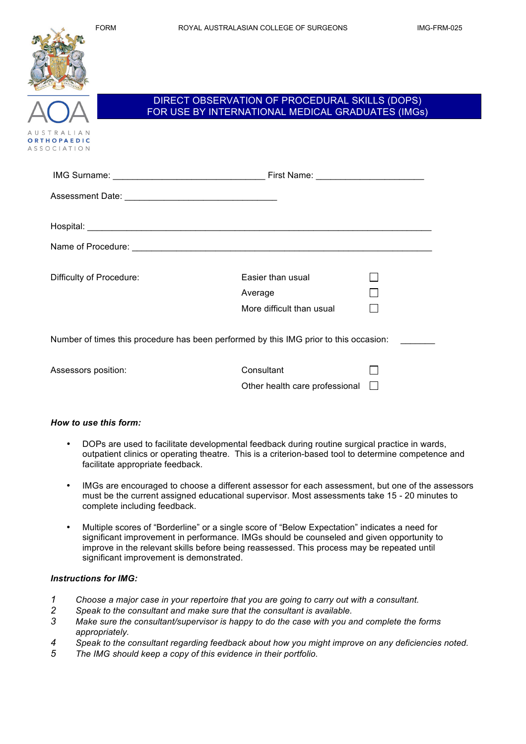

## DIRECT OBSERVATION OF PROCEDURAL SKILLS (DOPS) FOR USE BY INTERNATIONAL MEDICAL GRADUATES (IMGs)

| Difficulty of Procedure: | Easier than usual<br>Average<br>More difficult than usual |
|--------------------------|-----------------------------------------------------------|
|                          |                                                           |

Number of times this procedure has been performed by this IMG prior to this occasion:

Assessors position:

| Consultant                            |  |
|---------------------------------------|--|
| Other health care professional $\Box$ |  |

#### *How to use this form:*

- DOPs are used to facilitate developmental feedback during routine surgical practice in wards, outpatient clinics or operating theatre. This is a criterion-based tool to determine competence and facilitate appropriate feedback.
- IMGs are encouraged to choose a different assessor for each assessment, but one of the assessors must be the current assigned educational supervisor. Most assessments take 15 - 20 minutes to complete including feedback.
- Multiple scores of "Borderline" or a single score of "Below Expectation" indicates a need for significant improvement in performance. IMGs should be counseled and given opportunity to improve in the relevant skills before being reassessed. This process may be repeated until significant improvement is demonstrated.

#### *Instructions for IMG:*

- *1 Choose a major case in your repertoire that you are going to carry out with a consultant.*
- *2 Speak to the consultant and make sure that the consultant is available.*
- *3 Make sure the consultant/supervisor is happy to do the case with you and complete the forms appropriately.*
- *4 Speak to the consultant regarding feedback about how you might improve on any deficiencies noted.*
- *5 The IMG should keep a copy of this evidence in their portfolio.*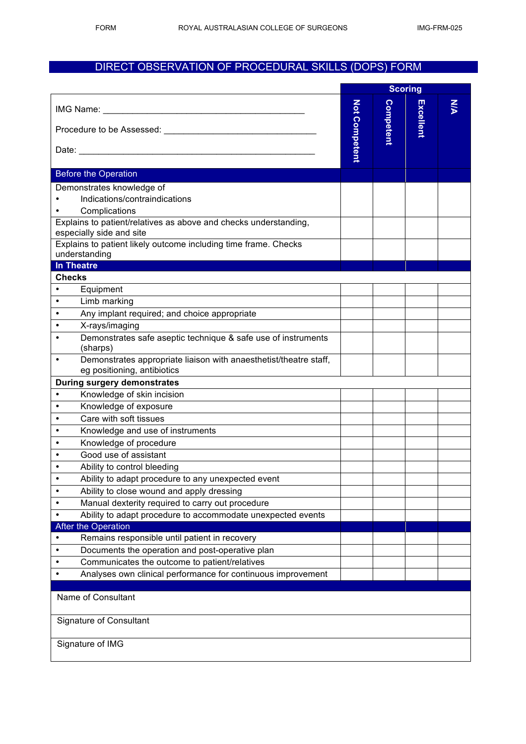# DIRECT OBSERVATION OF PROCEDURAL SKILLS (DOPS) FORM

|                                                                                              | <b>Scoring</b>       |           |           |    |
|----------------------------------------------------------------------------------------------|----------------------|-----------|-----------|----|
| Procedure to be Assessed: Network and the Assessed:                                          | <b>Not Competent</b> | Competent | Excellent | УN |
|                                                                                              |                      |           |           |    |
| <b>Before the Operation</b>                                                                  |                      |           |           |    |
| Demonstrates knowledge of                                                                    |                      |           |           |    |
| Indications/contraindications                                                                |                      |           |           |    |
| Complications                                                                                |                      |           |           |    |
| Explains to patient/relatives as above and checks understanding,<br>especially side and site |                      |           |           |    |
| Explains to patient likely outcome including time frame. Checks                              |                      |           |           |    |
| understanding                                                                                |                      |           |           |    |
| <b>In Theatre</b>                                                                            |                      |           |           |    |
| <b>Checks</b>                                                                                |                      |           |           |    |
| Equipment                                                                                    |                      |           |           |    |
| Limb marking<br>٠                                                                            |                      |           |           |    |
| Any implant required; and choice appropriate<br>$\bullet$                                    |                      |           |           |    |
| $\bullet$<br>X-rays/imaging                                                                  |                      |           |           |    |
| Demonstrates safe aseptic technique & safe use of instruments<br>(sharps)                    |                      |           |           |    |
| Demonstrates appropriate liaison with anaesthetist/theatre staff,<br>$\bullet$               |                      |           |           |    |
| eg positioning, antibiotics                                                                  |                      |           |           |    |
| <b>During surgery demonstrates</b>                                                           |                      |           |           |    |
| Knowledge of skin incision<br>$\bullet$                                                      |                      |           |           |    |
| Knowledge of exposure<br>$\bullet$                                                           |                      |           |           |    |
| Care with soft tissues<br>$\bullet$                                                          |                      |           |           |    |
| Knowledge and use of instruments<br>$\bullet$                                                |                      |           |           |    |
| Knowledge of procedure<br>$\bullet$                                                          |                      |           |           |    |
| Good use of assistant<br>$\bullet$                                                           |                      |           |           |    |
| Ability to control bleeding<br>٠                                                             |                      |           |           |    |
| Ability to adapt procedure to any unexpected event                                           |                      |           |           |    |
| Ability to close wound and apply dressing<br>$\bullet$                                       |                      |           |           |    |
| Manual dexterity required to carry out procedure<br>$\bullet$                                |                      |           |           |    |
| Ability to adapt procedure to accommodate unexpected events<br>$\bullet$                     |                      |           |           |    |
| <b>After the Operation</b>                                                                   |                      |           |           |    |
| Remains responsible until patient in recovery<br>$\bullet$                                   |                      |           |           |    |
| Documents the operation and post-operative plan<br>$\bullet$                                 |                      |           |           |    |
| Communicates the outcome to patient/relatives<br>$\bullet$                                   |                      |           |           |    |
| Analyses own clinical performance for continuous improvement<br>$\bullet$                    |                      |           |           |    |
| Name of Consultant<br><b>Signature of Consultant</b>                                         |                      |           |           |    |
|                                                                                              |                      |           |           |    |
| Signature of IMG                                                                             |                      |           |           |    |